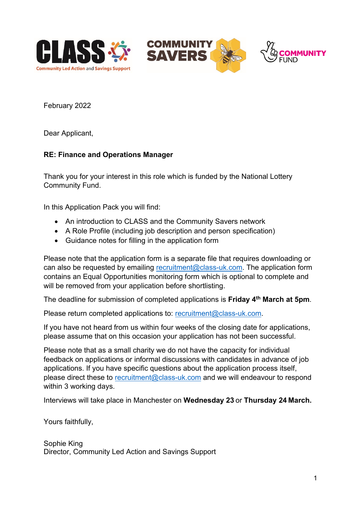





February 2022

Dear Applicant,

## **RE: Finance and Operations Manager**

Thank you for your interest in this role which is funded by the National Lottery Community Fund.

In this Application Pack you will find:

- An introduction to CLASS and the Community Savers network
- A Role Profile (including job description and person specification)
- Guidance notes for filling in the application form

Please note that the application form is a separate file that requires downloading or can also be requested by emailing [recruitment@class-uk.com.](mailto:recruitment@class-uk.com) The application form contains an Equal Opportunities monitoring form which is optional to complete and will be removed from your application before shortlisting.

The deadline for submission of completed applications is **Friday 4th March at 5pm**.

Please return completed applications to: [recruitment@class-uk.com.](mailto:recruitment@class-uk.com)

If you have not heard from us within four weeks of the closing date for applications, please assume that on this occasion your application has not been successful.

Please note that as a small charity we do not have the capacity for individual feedback on applications or informal discussions with candidates in advance of job applications. If you have specific questions about the application process itself, please direct these to [recruitment@class-uk.com](mailto:recruitment@class-uk.com) and we will endeavour to respond within 3 working days.

Interviews will take place in Manchester on **Wednesday 23** or **Thursday 24 March.**

Yours faithfully,

Sophie King Director, Community Led Action and Savings Support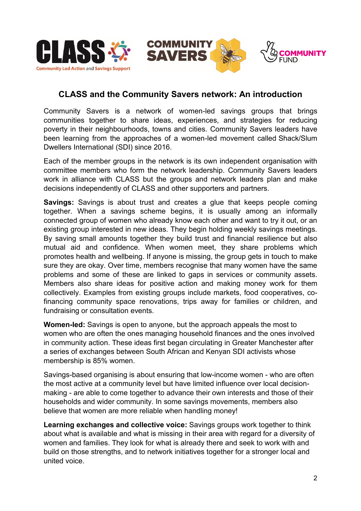





# **CLASS and the Community Savers network: An introduction**

Community Savers is a network of women-led savings groups that brings communities together to share ideas, experiences, and strategies for reducing poverty in their neighbourhoods, towns and cities. Community Savers leaders have been learning from the approaches of a women-led movement called Shack/Slum Dwellers International (SDI) since 2016.

Each of the member groups in the network is its own independent organisation with committee members who form the network leadership. Community Savers leaders work in alliance with CLASS but the groups and network leaders plan and make decisions independently of CLASS and other supporters and partners.

**Savings:** Savings is about trust and creates a glue that keeps people coming together. When a savings scheme begins, it is usually among an informally connected group of women who already know each other and want to try it out, or an existing group interested in new ideas. They begin holding weekly savings meetings. By saving small amounts together they build trust and financial resilience but also mutual aid and confidence. When women meet, they share problems which promotes health and wellbeing. If anyone is missing, the group gets in touch to make sure they are okay. Over time, members recognise that many women have the same problems and some of these are linked to gaps in services or community assets. Members also share ideas for positive action and making money work for them collectively. Examples from existing groups include markets, food cooperatives, cofinancing community space renovations, trips away for families or children, and fundraising or consultation events.

**Women-led:** Savings is open to anyone, but the approach appeals the most to women who are often the ones managing household finances and the ones involved in community action. These ideas first began circulating in Greater Manchester after a series of exchanges between South African and Kenyan SDI activists whose membership is 85% women.

Savings-based organising is about ensuring that low-income women - who are often the most active at a community level but have limited influence over local decisionmaking - are able to come together to advance their own interests and those of their households and wider community. In some savings movements, members also believe that women are more reliable when handling money!

**Learning exchanges and collective voice:** Savings groups work together to think about what is available and what is missing in their area with regard for a diversity of women and families. They look for what is already there and seek to work with and build on those strengths, and to network initiatives together for a stronger local and united voice.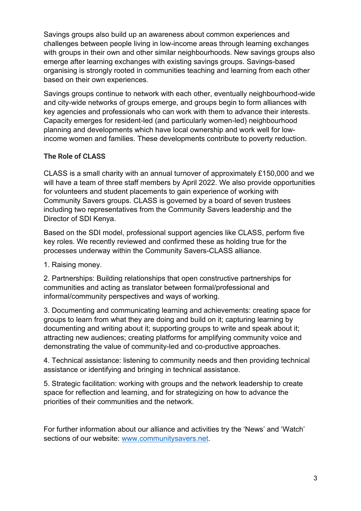Savings groups also build up an awareness about common experiences and challenges between people living in low-income areas through learning exchanges with groups in their own and other similar neighbourhoods. New savings groups also emerge after learning exchanges with existing savings groups. Savings-based organising is strongly rooted in communities teaching and learning from each other based on their own experiences.

Savings groups continue to network with each other, eventually neighbourhood-wide and city-wide networks of groups emerge, and groups begin to form alliances with key agencies and professionals who can work with them to advance their interests. Capacity emerges for resident-led (and particularly women-led) neighbourhood planning and developments which have local ownership and work well for lowincome women and families. These developments contribute to poverty reduction.

## **The Role of CLASS**

CLASS is a small charity with an annual turnover of approximately £150,000 and we will have a team of three staff members by April 2022. We also provide opportunities for volunteers and student placements to gain experience of working with Community Savers groups. CLASS is governed by a board of seven trustees including two representatives from the Community Savers leadership and the Director of SDI Kenya.

Based on the SDI model, professional support agencies like CLASS, perform five key roles. We recently reviewed and confirmed these as holding true for the processes underway within the Community Savers-CLASS alliance.

1. Raising money.

2. Partnerships: Building relationships that open constructive partnerships for communities and acting as translator between formal/professional and informal/community perspectives and ways of working.

3. Documenting and communicating learning and achievements: creating space for groups to learn from what they are doing and build on it; capturing learning by documenting and writing about it; supporting groups to write and speak about it; attracting new audiences; creating platforms for amplifying community voice and demonstrating the value of community-led and co-productive approaches.

4. Technical assistance: listening to community needs and then providing technical assistance or identifying and bringing in technical assistance.

5. Strategic facilitation: working with groups and the network leadership to create space for reflection and learning, and for strategizing on how to advance the priorities of their communities and the network.

For further information about our alliance and activities try the 'News' and 'Watch' sections of our website: [www.communitysavers.net.](http://www.communitysavers.net/)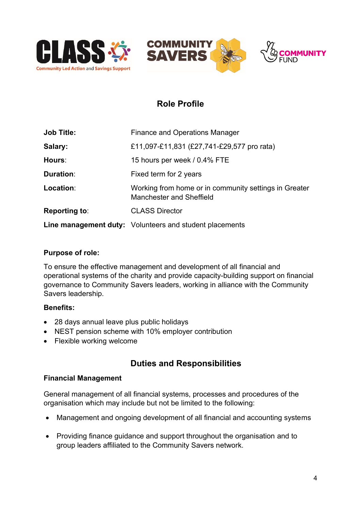





# **Role Profile**

| <b>Job Title:</b> | <b>Finance and Operations Manager</b>                                                    |
|-------------------|------------------------------------------------------------------------------------------|
| Salary:           | £11,097-£11,831 (£27,741-£29,577 pro rata)                                               |
| Hours:            | 15 hours per week / 0.4% FTE                                                             |
| Duration:         | Fixed term for 2 years                                                                   |
| Location:         | Working from home or in community settings in Greater<br><b>Manchester and Sheffield</b> |
| Reporting to:     | <b>CLASS Director</b>                                                                    |
|                   | <b>Line management duty:</b> Volunteers and student placements                           |

#### **Purpose of role:**

To ensure the effective management and development of all financial and operational systems of the charity and provide capacity-building support on financial governance to Community Savers leaders, working in alliance with the Community Savers leadership.

#### **Benefits:**

- 28 days annual leave plus public holidays
- NEST pension scheme with 10% employer contribution
- Flexible working welcome

# **Duties and Responsibilities**

#### **Financial Management**

General management of all financial systems, processes and procedures of the organisation which may include but not be limited to the following:

- Management and ongoing development of all financial and accounting systems
- Providing finance guidance and support throughout the organisation and to group leaders affiliated to the Community Savers network.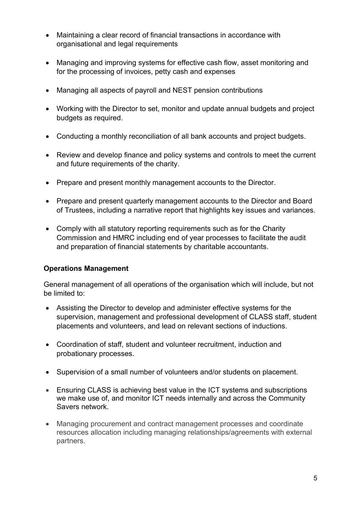- Maintaining a clear record of financial transactions in accordance with organisational and legal requirements
- Managing and improving systems for effective cash flow, asset monitoring and for the processing of invoices, petty cash and expenses
- Managing all aspects of payroll and NEST pension contributions
- Working with the Director to set, monitor and update annual budgets and project budgets as required.
- Conducting a monthly reconciliation of all bank accounts and project budgets.
- Review and develop finance and policy systems and controls to meet the current and future requirements of the charity.
- Prepare and present monthly management accounts to the Director.
- Prepare and present quarterly management accounts to the Director and Board of Trustees, including a narrative report that highlights key issues and variances.
- Comply with all statutory reporting requirements such as for the Charity Commission and HMRC including end of year processes to facilitate the audit and preparation of financial statements by charitable accountants.

#### **Operations Management**

General management of all operations of the organisation which will include, but not be limited to:

- Assisting the Director to develop and administer effective systems for the supervision, management and professional development of CLASS staff, student placements and volunteers, and lead on relevant sections of inductions.
- Coordination of staff, student and volunteer recruitment, induction and probationary processes.
- Supervision of a small number of volunteers and/or students on placement.
- Ensuring CLASS is achieving best value in the ICT systems and subscriptions we make use of, and monitor ICT needs internally and across the Community Savers network.
- Managing procurement and contract management processes and coordinate resources allocation including managing relationships/agreements with external partners.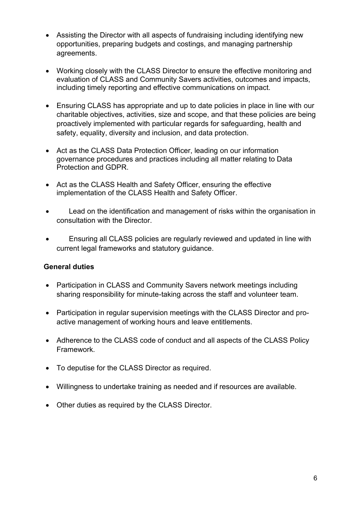- Assisting the Director with all aspects of fundraising including identifying new opportunities, preparing budgets and costings, and managing partnership agreements.
- Working closely with the CLASS Director to ensure the effective monitoring and evaluation of CLASS and Community Savers activities, outcomes and impacts, including timely reporting and effective communications on impact.
- Ensuring CLASS has appropriate and up to date policies in place in line with our charitable objectives, activities, size and scope, and that these policies are being proactively implemented with particular regards for safeguarding, health and safety, equality, diversity and inclusion, and data protection.
- Act as the CLASS Data Protection Officer, leading on our information governance procedures and practices including all matter relating to Data Protection and GDPR.
- Act as the CLASS Health and Safety Officer, ensuring the effective implementation of the CLASS Health and Safety Officer.
- Lead on the identification and management of risks within the organisation in consultation with the Director.
- Ensuring all CLASS policies are regularly reviewed and updated in line with current legal frameworks and statutory guidance.

#### **General duties**

- Participation in CLASS and Community Savers network meetings including sharing responsibility for minute-taking across the staff and volunteer team.
- Participation in regular supervision meetings with the CLASS Director and proactive management of working hours and leave entitlements.
- Adherence to the CLASS code of conduct and all aspects of the CLASS Policy Framework.
- To deputise for the CLASS Director as required.
- Willingness to undertake training as needed and if resources are available.
- Other duties as required by the CLASS Director.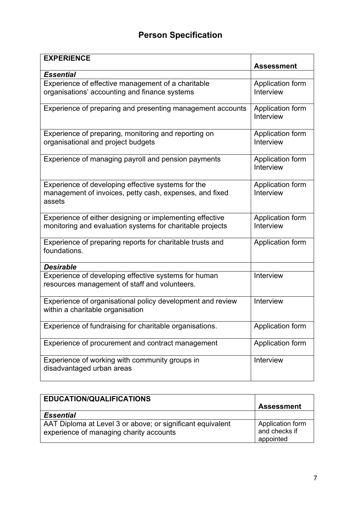# **Person Specification**

| <b>EXPERIENCE</b>                                                                                                       | <b>Assessment</b>             |
|-------------------------------------------------------------------------------------------------------------------------|-------------------------------|
| <b>Essential</b>                                                                                                        |                               |
| Experience of effective management of a charitable<br>organisations' accounting and finance systems                     | Application form<br>Interview |
| Experience of preparing and presenting management accounts                                                              | Application form<br>Interview |
| Experience of preparing, monitoring and reporting on<br>organisational and project budgets                              | Application form<br>Interview |
| Experience of managing payroll and pension payments                                                                     | Application form<br>Interview |
| Experience of developing effective systems for the<br>management of invoices, petty cash, expenses, and fixed<br>assets | Application form<br>Interview |
| Experience of either designing or implementing effective<br>monitoring and evaluation systems for charitable projects   | Application form<br>Interview |
| Experience of preparing reports for charitable trusts and<br>foundations.                                               | Application form              |
| <b>Desirable</b>                                                                                                        |                               |
| Experience of developing effective systems for human<br>resources management of staff and volunteers.                   | Interview                     |
| Experience of organisational policy development and review<br>within a charitable organisation                          | Interview                     |
| Experience of fundraising for charitable organisations.                                                                 | Application form              |
| Experience of procurement and contract management                                                                       | Application form              |
| Experience of working with community groups in<br>disadvantaged urban areas                                             | Interview                     |

| <b>EDUCATION/QUALIFICATIONS</b>                                                                       | <b>Assessment</b>                              |
|-------------------------------------------------------------------------------------------------------|------------------------------------------------|
| <b>Essential</b>                                                                                      |                                                |
| AAT Diploma at Level 3 or above; or significant equivalent<br>experience of managing charity accounts | Application form<br>and checks if<br>appointed |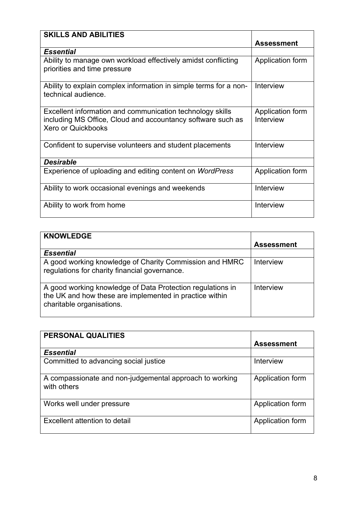| <b>SKILLS AND ABILITIES</b>                                                                                                                           |                               |
|-------------------------------------------------------------------------------------------------------------------------------------------------------|-------------------------------|
|                                                                                                                                                       | <b>Assessment</b>             |
| <b>Essential</b>                                                                                                                                      |                               |
| Ability to manage own workload effectively amidst conflicting<br>priorities and time pressure                                                         | Application form              |
| Ability to explain complex information in simple terms for a non-<br>technical audience.                                                              | Interview                     |
| Excellent information and communication technology skills<br>including MS Office, Cloud and accountancy software such as<br><b>Xero or Quickbooks</b> | Application form<br>Interview |
| Confident to supervise volunteers and student placements                                                                                              | Interview                     |
| <b>Desirable</b>                                                                                                                                      |                               |
| Experience of uploading and editing content on WordPress                                                                                              | Application form              |
| Ability to work occasional evenings and weekends                                                                                                      | Interview                     |
| Ability to work from home                                                                                                                             | Interview                     |

| <b>KNOWLEDGE</b>                                                                                                                                   | <b>Assessment</b> |
|----------------------------------------------------------------------------------------------------------------------------------------------------|-------------------|
| <b>Essential</b>                                                                                                                                   |                   |
| A good working knowledge of Charity Commission and HMRC<br>regulations for charity financial governance.                                           | <b>Interview</b>  |
| A good working knowledge of Data Protection regulations in<br>the UK and how these are implemented in practice within<br>charitable organisations. | Interview         |

| PERSONAL QUALITIES                                                     |                   |
|------------------------------------------------------------------------|-------------------|
|                                                                        | <b>Assessment</b> |
| <b>Essential</b>                                                       |                   |
| Committed to advancing social justice                                  | Interview         |
| A compassionate and non-judgemental approach to working<br>with others | Application form  |
| Works well under pressure                                              | Application form  |
| Excellent attention to detail                                          | Application form  |